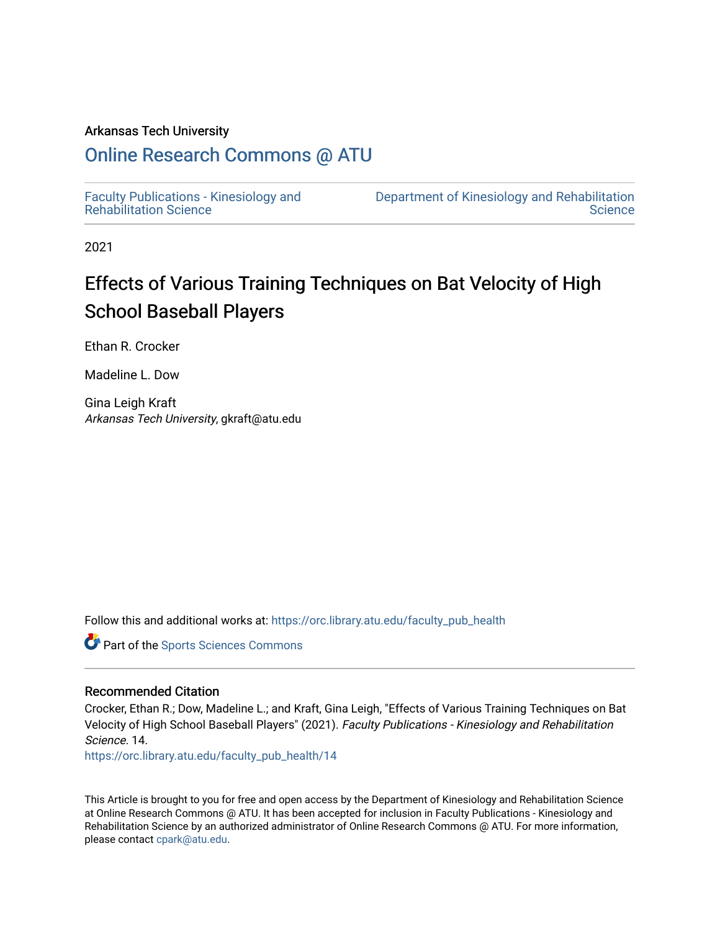#### Arkansas Tech University

# [Online Research Commons @ ATU](https://orc.library.atu.edu/)

[Faculty Publications - Kinesiology and](https://orc.library.atu.edu/faculty_pub_health) [Rehabilitation Science](https://orc.library.atu.edu/faculty_pub_health)

[Department of Kinesiology and Rehabilitation](https://orc.library.atu.edu/health_physical_education)  **Science** 

2021

# Effects of Various Training Techniques on Bat Velocity of High School Baseball Players

Ethan R. Crocker

Madeline L. Dow

Gina Leigh Kraft Arkansas Tech University, gkraft@atu.edu

Follow this and additional works at: [https://orc.library.atu.edu/faculty\\_pub\\_health](https://orc.library.atu.edu/faculty_pub_health?utm_source=orc.library.atu.edu%2Ffaculty_pub_health%2F14&utm_medium=PDF&utm_campaign=PDFCoverPages)



#### Recommended Citation

Crocker, Ethan R.; Dow, Madeline L.; and Kraft, Gina Leigh, "Effects of Various Training Techniques on Bat Velocity of High School Baseball Players" (2021). Faculty Publications - Kinesiology and Rehabilitation Science. 14.

[https://orc.library.atu.edu/faculty\\_pub\\_health/14](https://orc.library.atu.edu/faculty_pub_health/14?utm_source=orc.library.atu.edu%2Ffaculty_pub_health%2F14&utm_medium=PDF&utm_campaign=PDFCoverPages) 

This Article is brought to you for free and open access by the Department of Kinesiology and Rehabilitation Science at Online Research Commons @ ATU. It has been accepted for inclusion in Faculty Publications - Kinesiology and Rehabilitation Science by an authorized administrator of Online Research Commons @ ATU. For more information, please contact [cpark@atu.edu](mailto:cpark@atu.edu).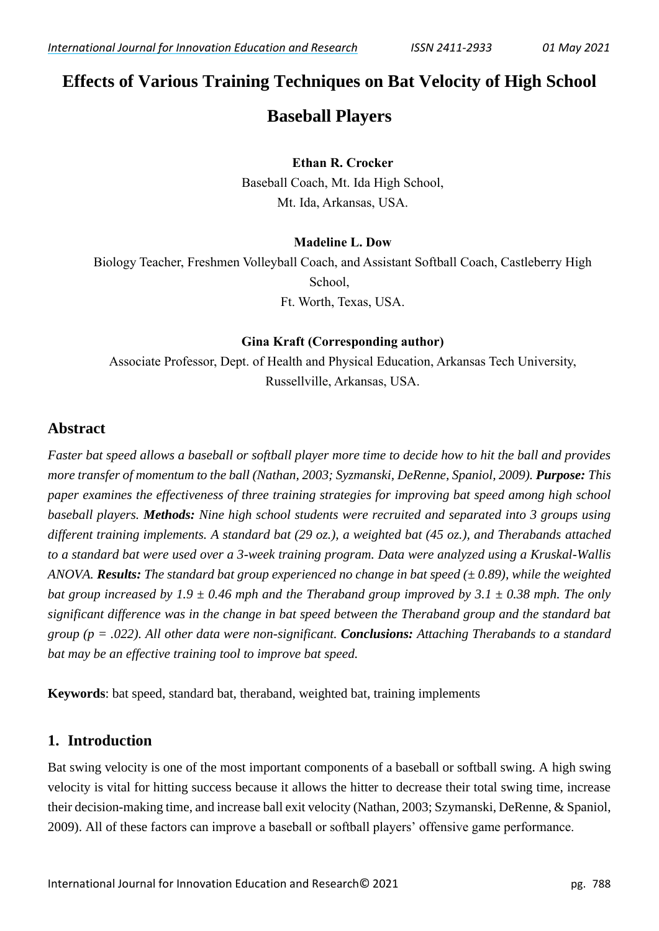# **Effects of Various Training Techniques on Bat Velocity of High School**

# **Baseball Players**

#### **Ethan R. Crocker**

Baseball Coach, Mt. Ida High School, Mt. Ida, Arkansas, USA.

# **Madeline L. Dow**

Biology Teacher, Freshmen Volleyball Coach, and Assistant Softball Coach, Castleberry High School, Ft. Worth, Texas, USA.

#### **Gina Kraft (Corresponding author)**

Associate Professor, Dept. of Health and Physical Education, Arkansas Tech University, Russellville, Arkansas, USA.

# **Abstract**

*Faster bat speed allows a baseball or softball player more time to decide how to hit the ball and provides more transfer of momentum to the ball (Nathan, 2003; Syzmanski, DeRenne, Spaniol, 2009). Purpose: This paper examines the effectiveness of three training strategies for improving bat speed among high school baseball players. Methods: Nine high school students were recruited and separated into 3 groups using different training implements. A standard bat (29 oz.), a weighted bat (45 oz.), and Therabands attached to a standard bat were used over a 3-week training program. Data were analyzed using a Kruskal-Wallis*  ANOVA. *Results: The standard bat group experienced no change in bat speed (* $\pm$ *0.89), while the weighted bat group increased by 1.9*  $\pm$  *0.46 mph and the Theraband group improved by 3.1*  $\pm$  *0.38 mph. The only significant difference was in the change in bat speed between the Theraband group and the standard bat group (p = .022). All other data were non-significant. Conclusions: Attaching Therabands to a standard bat may be an effective training tool to improve bat speed.*

**Keywords**: bat speed, standard bat, theraband, weighted bat, training implements

# **1. Introduction**

Bat swing velocity is one of the most important components of a baseball or softball swing. A high swing velocity is vital for hitting success because it allows the hitter to decrease their total swing time, increase their decision-making time, and increase ball exit velocity (Nathan, 2003; Szymanski, DeRenne, & Spaniol, 2009). All of these factors can improve a baseball or softball players' offensive game performance.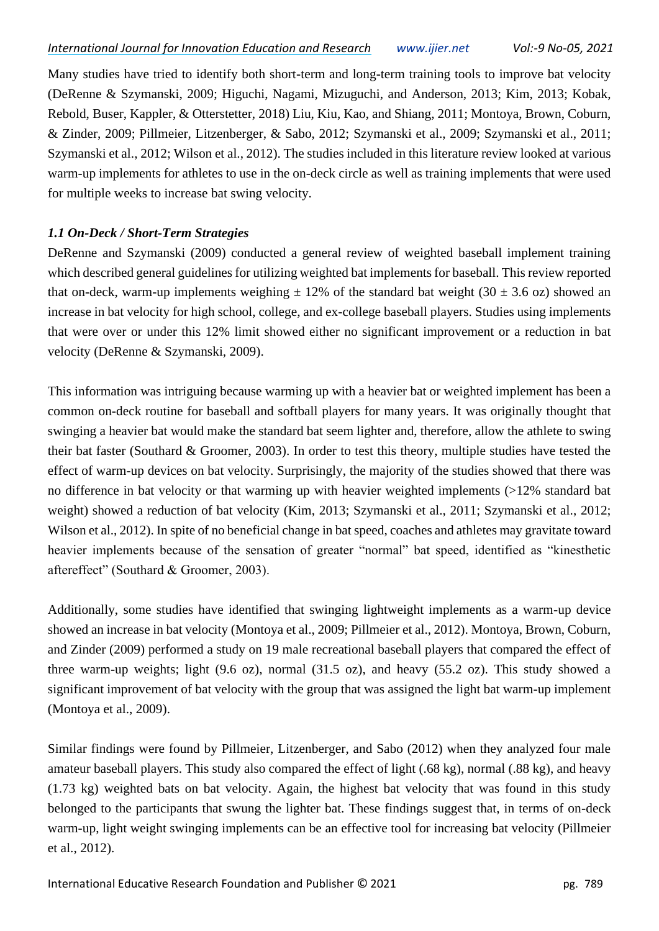Many studies have tried to identify both short-term and long-term training tools to improve bat velocity (DeRenne & Szymanski, 2009; Higuchi, Nagami, Mizuguchi, and Anderson, 2013; Kim, 2013; Kobak, Rebold, Buser, Kappler, & Otterstetter, 2018) Liu, Kiu, Kao, and Shiang, 2011; Montoya, Brown, Coburn, & Zinder, 2009; Pillmeier, Litzenberger, & Sabo, 2012; Szymanski et al., 2009; Szymanski et al., 2011; Szymanski et al., 2012; Wilson et al., 2012). The studies included in this literature review looked at various warm-up implements for athletes to use in the on-deck circle as well as training implements that were used for multiple weeks to increase bat swing velocity.

#### *1.1 On-Deck / Short-Term Strategies*

DeRenne and Szymanski (2009) conducted a general review of weighted baseball implement training which described general guidelines for utilizing weighted bat implements for baseball. This review reported that on-deck, warm-up implements weighing  $\pm$  12% of the standard bat weight (30  $\pm$  3.6 oz) showed an increase in bat velocity for high school, college, and ex-college baseball players. Studies using implements that were over or under this 12% limit showed either no significant improvement or a reduction in bat velocity (DeRenne & Szymanski, 2009).

This information was intriguing because warming up with a heavier bat or weighted implement has been a common on-deck routine for baseball and softball players for many years. It was originally thought that swinging a heavier bat would make the standard bat seem lighter and, therefore, allow the athlete to swing their bat faster (Southard & Groomer, 2003). In order to test this theory, multiple studies have tested the effect of warm-up devices on bat velocity. Surprisingly, the majority of the studies showed that there was no difference in bat velocity or that warming up with heavier weighted implements (>12% standard bat weight) showed a reduction of bat velocity (Kim, 2013; Szymanski et al., 2011; Szymanski et al., 2012; Wilson et al., 2012). In spite of no beneficial change in bat speed, coaches and athletes may gravitate toward heavier implements because of the sensation of greater "normal" bat speed, identified as "kinesthetic aftereffect" (Southard & Groomer, 2003).

Additionally, some studies have identified that swinging lightweight implements as a warm-up device showed an increase in bat velocity (Montoya et al., 2009; Pillmeier et al., 2012). Montoya, Brown, Coburn, and Zinder (2009) performed a study on 19 male recreational baseball players that compared the effect of three warm-up weights; light (9.6 oz), normal (31.5 oz), and heavy (55.2 oz). This study showed a significant improvement of bat velocity with the group that was assigned the light bat warm-up implement (Montoya et al., 2009).

Similar findings were found by Pillmeier, Litzenberger, and Sabo (2012) when they analyzed four male amateur baseball players. This study also compared the effect of light (.68 kg), normal (.88 kg), and heavy (1.73 kg) weighted bats on bat velocity. Again, the highest bat velocity that was found in this study belonged to the participants that swung the lighter bat. These findings suggest that, in terms of on-deck warm-up, light weight swinging implements can be an effective tool for increasing bat velocity (Pillmeier et al., 2012).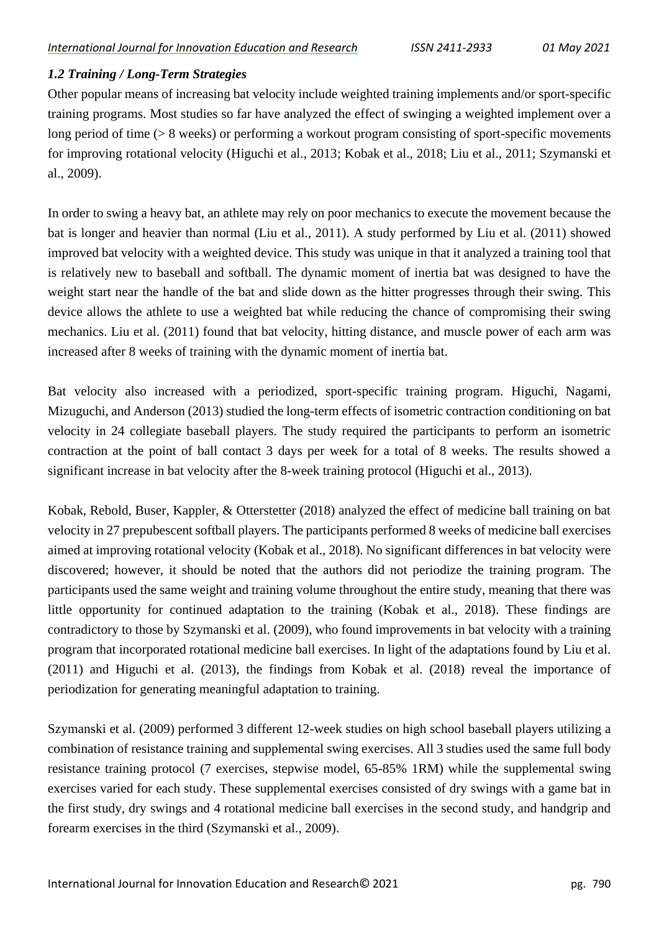#### *1.2 Training / Long-Term Strategies*

Other popular means of increasing bat velocity include weighted training implements and/or sport-specific training programs. Most studies so far have analyzed the effect of swinging a weighted implement over a long period of time (> 8 weeks) or performing a workout program consisting of sport-specific movements for improving rotational velocity (Higuchi et al., 2013; Kobak et al., 2018; Liu et al., 2011; Szymanski et al., 2009).

In order to swing a heavy bat, an athlete may rely on poor mechanics to execute the movement because the bat is longer and heavier than normal (Liu et al., 2011). A study performed by Liu et al. (2011) showed improved bat velocity with a weighted device. This study was unique in that it analyzed a training tool that is relatively new to baseball and softball. The dynamic moment of inertia bat was designed to have the weight start near the handle of the bat and slide down as the hitter progresses through their swing. This device allows the athlete to use a weighted bat while reducing the chance of compromising their swing mechanics. Liu et al. (2011) found that bat velocity, hitting distance, and muscle power of each arm was increased after 8 weeks of training with the dynamic moment of inertia bat.

Bat velocity also increased with a periodized, sport-specific training program. Higuchi, Nagami, Mizuguchi, and Anderson (2013) studied the long-term effects of isometric contraction conditioning on bat velocity in 24 collegiate baseball players. The study required the participants to perform an isometric contraction at the point of ball contact 3 days per week for a total of 8 weeks. The results showed a significant increase in bat velocity after the 8-week training protocol (Higuchi et al., 2013).

Kobak, Rebold, Buser, Kappler, & Otterstetter (2018) analyzed the effect of medicine ball training on bat velocity in 27 prepubescent softball players. The participants performed 8 weeks of medicine ball exercises aimed at improving rotational velocity (Kobak et al., 2018). No significant differences in bat velocity were discovered; however, it should be noted that the authors did not periodize the training program. The participants used the same weight and training volume throughout the entire study, meaning that there was little opportunity for continued adaptation to the training (Kobak et al., 2018). These findings are contradictory to those by Szymanski et al. (2009), who found improvements in bat velocity with a training program that incorporated rotational medicine ball exercises. In light of the adaptations found by Liu et al. (2011) and Higuchi et al. (2013), the findings from Kobak et al. (2018) reveal the importance of periodization for generating meaningful adaptation to training.

Szymanski et al. (2009) performed 3 different 12-week studies on high school baseball players utilizing a combination of resistance training and supplemental swing exercises. All 3 studies used the same full body resistance training protocol (7 exercises, stepwise model, 65-85% 1RM) while the supplemental swing exercises varied for each study. These supplemental exercises consisted of dry swings with a game bat in the first study, dry swings and 4 rotational medicine ball exercises in the second study, and handgrip and forearm exercises in the third (Szymanski et al., 2009).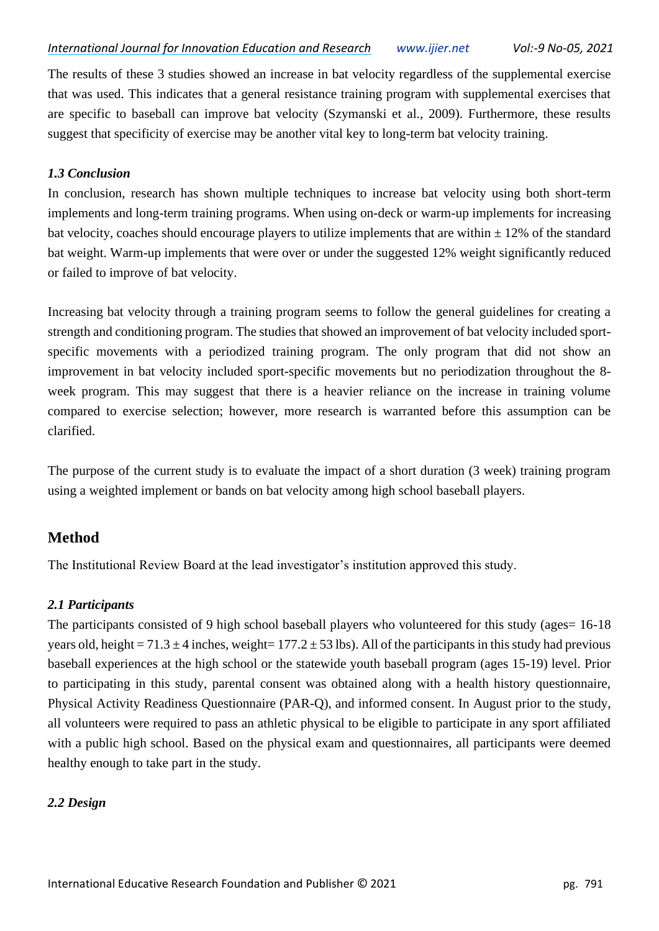The results of these 3 studies showed an increase in bat velocity regardless of the supplemental exercise that was used. This indicates that a general resistance training program with supplemental exercises that are specific to baseball can improve bat velocity (Szymanski et al., 2009). Furthermore, these results suggest that specificity of exercise may be another vital key to long-term bat velocity training.

#### *1.3 Conclusion*

In conclusion, research has shown multiple techniques to increase bat velocity using both short-term implements and long-term training programs. When using on-deck or warm-up implements for increasing bat velocity, coaches should encourage players to utilize implements that are within  $\pm$  12% of the standard bat weight. Warm-up implements that were over or under the suggested 12% weight significantly reduced or failed to improve of bat velocity.

Increasing bat velocity through a training program seems to follow the general guidelines for creating a strength and conditioning program. The studies that showed an improvement of bat velocity included sportspecific movements with a periodized training program. The only program that did not show an improvement in bat velocity included sport-specific movements but no periodization throughout the 8 week program. This may suggest that there is a heavier reliance on the increase in training volume compared to exercise selection; however, more research is warranted before this assumption can be clarified.

The purpose of the current study is to evaluate the impact of a short duration (3 week) training program using a weighted implement or bands on bat velocity among high school baseball players.

# **Method**

The Institutional Review Board at the lead investigator's institution approved this study.

## *2.1 Participants*

The participants consisted of 9 high school baseball players who volunteered for this study (ages= 16-18) years old, height =  $71.3 \pm 4$  inches, weight =  $177.2 \pm 53$  lbs). All of the participants in this study had previous baseball experiences at the high school or the statewide youth baseball program (ages 15-19) level. Prior to participating in this study, parental consent was obtained along with a health history questionnaire, Physical Activity Readiness Questionnaire (PAR-Q), and informed consent. In August prior to the study, all volunteers were required to pass an athletic physical to be eligible to participate in any sport affiliated with a public high school. Based on the physical exam and questionnaires, all participants were deemed healthy enough to take part in the study.

## *2.2 Design*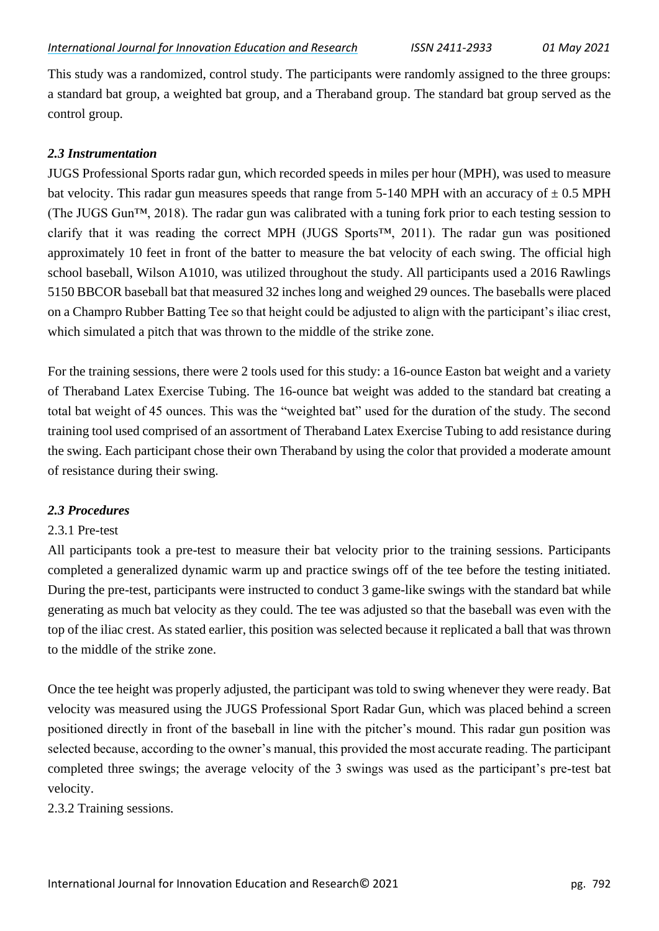This study was a randomized, control study. The participants were randomly assigned to the three groups: a standard bat group, a weighted bat group, and a Theraband group. The standard bat group served as the control group.

#### *2.3 Instrumentation*

JUGS Professional Sports radar gun, which recorded speeds in miles per hour (MPH), was used to measure bat velocity. This radar gun measures speeds that range from 5-140 MPH with an accuracy of  $\pm$  0.5 MPH (The JUGS Gun™, 2018). The radar gun was calibrated with a tuning fork prior to each testing session to clarify that it was reading the correct MPH (JUGS Sports™, 2011). The radar gun was positioned approximately 10 feet in front of the batter to measure the bat velocity of each swing. The official high school baseball, Wilson A1010, was utilized throughout the study. All participants used a 2016 Rawlings 5150 BBCOR baseball bat that measured 32 inches long and weighed 29 ounces. The baseballs were placed on a Champro Rubber Batting Tee so that height could be adjusted to align with the participant's iliac crest, which simulated a pitch that was thrown to the middle of the strike zone.

For the training sessions, there were 2 tools used for this study: a 16-ounce Easton bat weight and a variety of Theraband Latex Exercise Tubing. The 16-ounce bat weight was added to the standard bat creating a total bat weight of 45 ounces. This was the "weighted bat" used for the duration of the study. The second training tool used comprised of an assortment of Theraband Latex Exercise Tubing to add resistance during the swing. Each participant chose their own Theraband by using the color that provided a moderate amount of resistance during their swing.

#### *2.3 Procedures*

## 2.3.1 Pre-test

All participants took a pre-test to measure their bat velocity prior to the training sessions. Participants completed a generalized dynamic warm up and practice swings off of the tee before the testing initiated. During the pre-test, participants were instructed to conduct 3 game-like swings with the standard bat while generating as much bat velocity as they could. The tee was adjusted so that the baseball was even with the top of the iliac crest. As stated earlier, this position was selected because it replicated a ball that was thrown to the middle of the strike zone.

Once the tee height was properly adjusted, the participant was told to swing whenever they were ready. Bat velocity was measured using the JUGS Professional Sport Radar Gun, which was placed behind a screen positioned directly in front of the baseball in line with the pitcher's mound. This radar gun position was selected because, according to the owner's manual, this provided the most accurate reading. The participant completed three swings; the average velocity of the 3 swings was used as the participant's pre-test bat velocity.

2.3.2 Training sessions.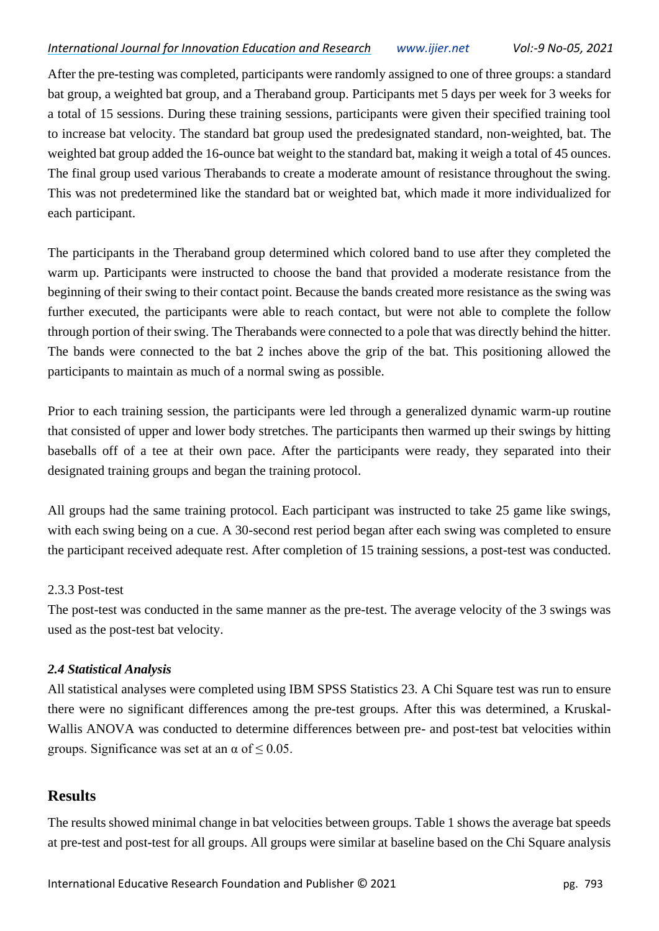After the pre-testing was completed, participants were randomly assigned to one of three groups: a standard bat group, a weighted bat group, and a Theraband group. Participants met 5 days per week for 3 weeks for a total of 15 sessions. During these training sessions, participants were given their specified training tool to increase bat velocity. The standard bat group used the predesignated standard, non-weighted, bat. The weighted bat group added the 16-ounce bat weight to the standard bat, making it weigh a total of 45 ounces. The final group used various Therabands to create a moderate amount of resistance throughout the swing. This was not predetermined like the standard bat or weighted bat, which made it more individualized for each participant.

The participants in the Theraband group determined which colored band to use after they completed the warm up. Participants were instructed to choose the band that provided a moderate resistance from the beginning of their swing to their contact point. Because the bands created more resistance as the swing was further executed, the participants were able to reach contact, but were not able to complete the follow through portion of their swing. The Therabands were connected to a pole that was directly behind the hitter. The bands were connected to the bat 2 inches above the grip of the bat. This positioning allowed the participants to maintain as much of a normal swing as possible.

Prior to each training session, the participants were led through a generalized dynamic warm-up routine that consisted of upper and lower body stretches. The participants then warmed up their swings by hitting baseballs off of a tee at their own pace. After the participants were ready, they separated into their designated training groups and began the training protocol.

All groups had the same training protocol. Each participant was instructed to take 25 game like swings, with each swing being on a cue. A 30-second rest period began after each swing was completed to ensure the participant received adequate rest. After completion of 15 training sessions, a post-test was conducted.

#### 2.3.3 Post-test

The post-test was conducted in the same manner as the pre-test. The average velocity of the 3 swings was used as the post-test bat velocity.

#### *2.4 Statistical Analysis*

All statistical analyses were completed using IBM SPSS Statistics 23. A Chi Square test was run to ensure there were no significant differences among the pre-test groups. After this was determined, a Kruskal-Wallis ANOVA was conducted to determine differences between pre- and post-test bat velocities within groups. Significance was set at an  $\alpha$  of  $\leq 0.05$ .

## **Results**

The results showed minimal change in bat velocities between groups. Table 1 shows the average bat speeds at pre-test and post-test for all groups. All groups were similar at baseline based on the Chi Square analysis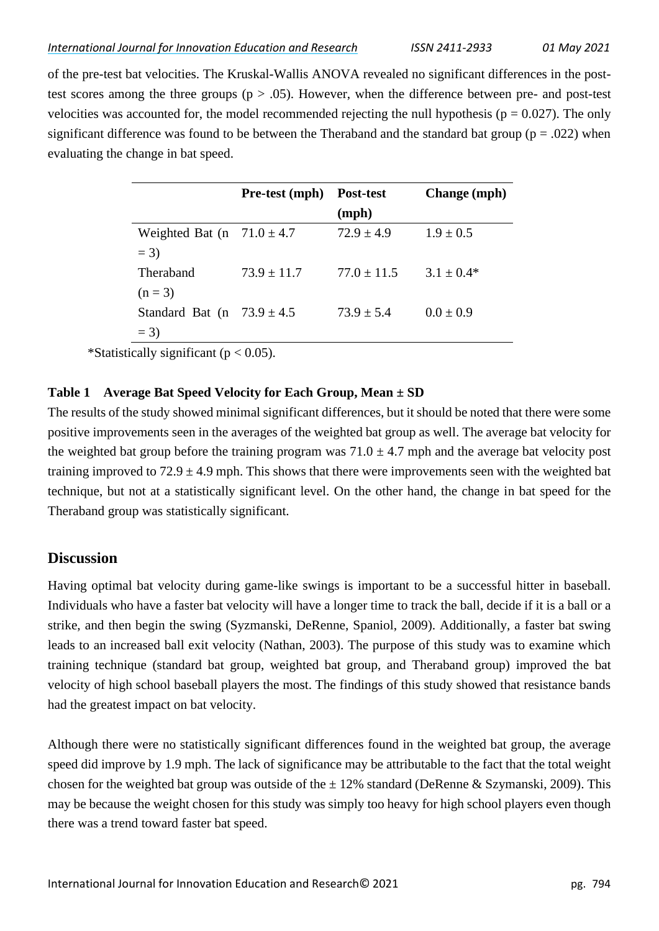of the pre-test bat velocities. The Kruskal-Wallis ANOVA revealed no significant differences in the posttest scores among the three groups ( $p > .05$ ). However, when the difference between pre- and post-test velocities was accounted for, the model recommended rejecting the null hypothesis ( $p = 0.027$ ). The only significant difference was found to be between the Theraband and the standard bat group ( $p = .022$ ) when evaluating the change in bat speed.

|                                | <b>Pre-test</b> (mph) | <b>Post-test</b> | <b>Change</b> (mph) |
|--------------------------------|-----------------------|------------------|---------------------|
|                                |                       | (mph)            |                     |
| Weighted Bat (n $71.0 \pm 4.7$ |                       | $72.9 \pm 4.9$   | $1.9 \pm 0.5$       |
| $= 3$                          |                       |                  |                     |
| Theraband                      | $73.9 \pm 11.7$       | $77.0 \pm 11.5$  | $3.1 \pm 0.4*$      |
| $(n = 3)$                      |                       |                  |                     |
| Standard Bat (n $73.9 \pm 4.5$ |                       | $73.9 \pm 5.4$   | $0.0 \pm 0.9$       |
| $= 3$                          |                       |                  |                     |

\*Statistically significant ( $p < 0.05$ ).

#### **Table 1 Average Bat Speed Velocity for Each Group, Mean ± SD**

The results of the study showed minimal significant differences, but it should be noted that there were some positive improvements seen in the averages of the weighted bat group as well. The average bat velocity for the weighted bat group before the training program was  $71.0 \pm 4.7$  mph and the average bat velocity post training improved to  $72.9 \pm 4.9$  mph. This shows that there were improvements seen with the weighted bat technique, but not at a statistically significant level. On the other hand, the change in bat speed for the Theraband group was statistically significant.

## **Discussion**

Having optimal bat velocity during game-like swings is important to be a successful hitter in baseball. Individuals who have a faster bat velocity will have a longer time to track the ball, decide if it is a ball or a strike, and then begin the swing (Syzmanski, DeRenne, Spaniol, 2009). Additionally, a faster bat swing leads to an increased ball exit velocity (Nathan, 2003). The purpose of this study was to examine which training technique (standard bat group, weighted bat group, and Theraband group) improved the bat velocity of high school baseball players the most. The findings of this study showed that resistance bands had the greatest impact on bat velocity.

Although there were no statistically significant differences found in the weighted bat group, the average speed did improve by 1.9 mph. The lack of significance may be attributable to the fact that the total weight chosen for the weighted bat group was outside of the  $\pm$  12% standard (DeRenne & Szymanski, 2009). This may be because the weight chosen for this study was simply too heavy for high school players even though there was a trend toward faster bat speed.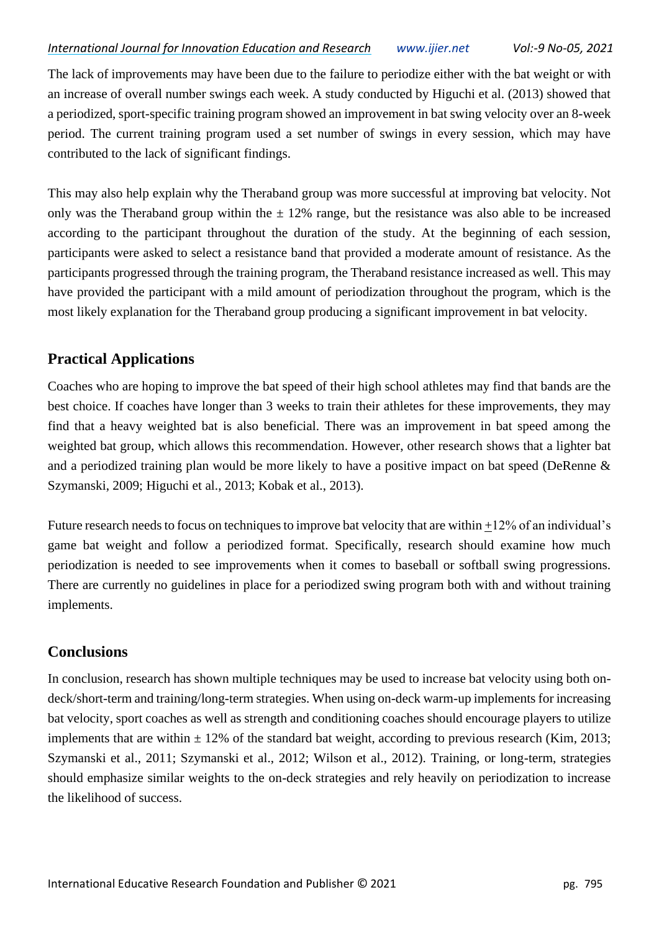The lack of improvements may have been due to the failure to periodize either with the bat weight or with an increase of overall number swings each week. A study conducted by Higuchi et al. (2013) showed that a periodized, sport-specific training program showed an improvement in bat swing velocity over an 8-week period. The current training program used a set number of swings in every session, which may have contributed to the lack of significant findings.

This may also help explain why the Theraband group was more successful at improving bat velocity. Not only was the Theraband group within the  $\pm$  12% range, but the resistance was also able to be increased according to the participant throughout the duration of the study. At the beginning of each session, participants were asked to select a resistance band that provided a moderate amount of resistance. As the participants progressed through the training program, the Theraband resistance increased as well. This may have provided the participant with a mild amount of periodization throughout the program, which is the most likely explanation for the Theraband group producing a significant improvement in bat velocity.

# **Practical Applications**

Coaches who are hoping to improve the bat speed of their high school athletes may find that bands are the best choice. If coaches have longer than 3 weeks to train their athletes for these improvements, they may find that a heavy weighted bat is also beneficial. There was an improvement in bat speed among the weighted bat group, which allows this recommendation. However, other research shows that a lighter bat and a periodized training plan would be more likely to have a positive impact on bat speed (DeRenne & Szymanski, 2009; Higuchi et al., 2013; Kobak et al., 2013).

Future research needs to focus on techniques to improve bat velocity that are within +12% of an individual's game bat weight and follow a periodized format. Specifically, research should examine how much periodization is needed to see improvements when it comes to baseball or softball swing progressions. There are currently no guidelines in place for a periodized swing program both with and without training implements.

# **Conclusions**

In conclusion, research has shown multiple techniques may be used to increase bat velocity using both ondeck/short-term and training/long-term strategies. When using on-deck warm-up implements for increasing bat velocity, sport coaches as well as strength and conditioning coaches should encourage players to utilize implements that are within  $\pm$  12% of the standard bat weight, according to previous research (Kim, 2013; Szymanski et al., 2011; Szymanski et al., 2012; Wilson et al., 2012). Training, or long-term, strategies should emphasize similar weights to the on-deck strategies and rely heavily on periodization to increase the likelihood of success.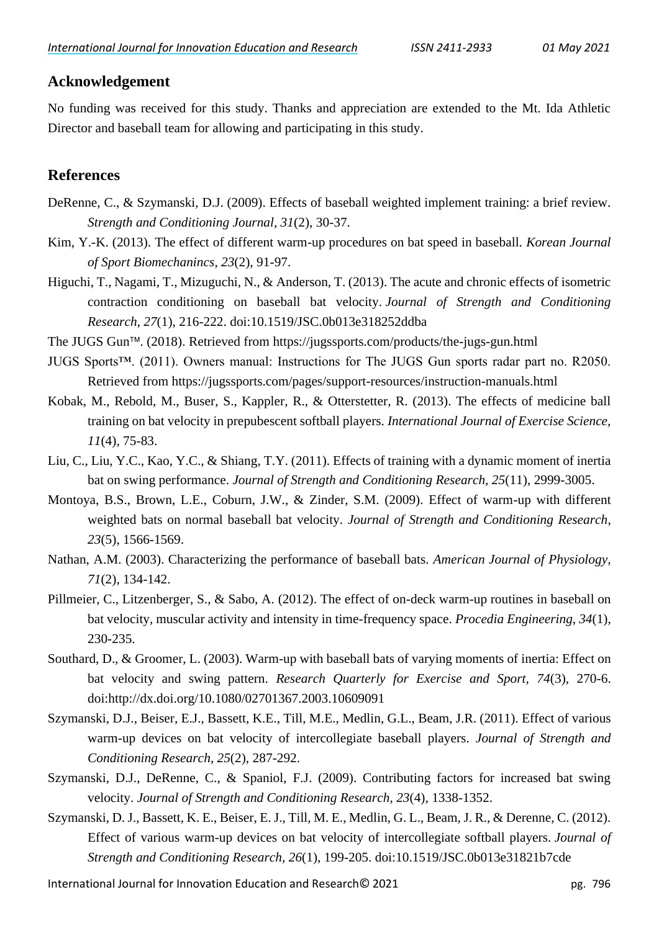# **Acknowledgement**

No funding was received for this study. Thanks and appreciation are extended to the Mt. Ida Athletic Director and baseball team for allowing and participating in this study.

# **References**

- DeRenne, C., & Szymanski, D.J. (2009). Effects of baseball weighted implement training: a brief review. *Strength and Conditioning Journal, 31*(2), 30-37.
- Kim, Y.-K. (2013). The effect of different warm-up procedures on bat speed in baseball. *Korean Journal of Sport Biomechanincs*, *23*(2), 91-97.
- Higuchi, T., Nagami, T., Mizuguchi, N., & Anderson, T. (2013). The acute and chronic effects of isometric contraction conditioning on baseball bat velocity. *Journal of Strength and Conditioning Research*, *27*(1), 216-222. doi:10.1519/JSC.0b013e318252ddba
- The JUGS Gun™. (2018). Retrieved from https://jugssports.com/products/the-jugs-gun.html
- JUGS Sports™. (2011). Owners manual: Instructions for The JUGS Gun sports radar part no. R2050. Retrieved from https://jugssports.com/pages/support-resources/instruction-manuals.html
- Kobak, M., Rebold, M., Buser, S., Kappler, R., & Otterstetter, R. (2013). The effects of medicine ball training on bat velocity in prepubescent softball players. *International Journal of Exercise Science, 11*(4)*,* 75-83.
- Liu, C., Liu, Y.C., Kao, Y.C., & Shiang, T.Y. (2011). Effects of training with a dynamic moment of inertia bat on swing performance. *Journal of Strength and Conditioning Research, 25*(11), 2999-3005.
- Montoya, B.S., Brown, L.E., Coburn, J.W., & Zinder, S.M. (2009). Effect of warm-up with different weighted bats on normal baseball bat velocity. *Journal of Strength and Conditioning Research*, *23*(5), 1566-1569.
- Nathan, A.M. (2003). Characterizing the performance of baseball bats. *American Journal of Physiology, 71*(2), 134-142.
- Pillmeier, C., Litzenberger, S., & Sabo, A. (2012). The effect of on-deck warm-up routines in baseball on bat velocity, muscular activity and intensity in time-frequency space. *Procedia Engineering*, *34*(1), 230-235.
- Southard, D., & Groomer, L. (2003). Warm-up with baseball bats of varying moments of inertia: Effect on bat velocity and swing pattern. *Research Quarterly for Exercise and Sport, 74*(3), 270-6. doi:http://dx.doi.org/10.1080/02701367.2003.10609091
- Szymanski, D.J., Beiser, E.J., Bassett, K.E., Till, M.E., Medlin, G.L., Beam, J.R. (2011). Effect of various warm-up devices on bat velocity of intercollegiate baseball players. *Journal of Strength and Conditioning Research*, *25*(2), 287-292.
- Szymanski, D.J., DeRenne, C., & Spaniol, F.J. (2009). Contributing factors for increased bat swing velocity. *Journal of Strength and Conditioning Research*, *23*(4), 1338-1352.
- Szymanski, D. J., Bassett, K. E., Beiser, E. J., Till, M. E., Medlin, G. L., Beam, J. R., & Derenne, C. (2012). Effect of various warm-up devices on bat velocity of intercollegiate softball players. *Journal of Strength and Conditioning Research*, *26*(1), 199-205. doi:10.1519/JSC.0b013e31821b7cde